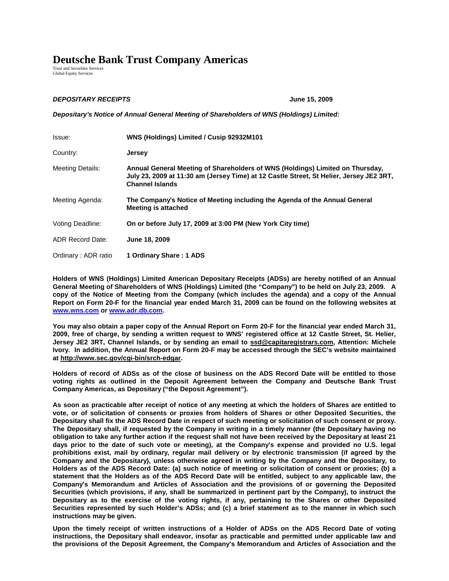## **Deutsche Bank Trust Company Americas**

Trust and Securities Services Global Equity Services

## **DEPOSITARY RECEIPTS June 15, 2009**

**Depositary's Notice of Annual General Meeting of Shareholders of WNS (Holdings) Limited:** 

| Issue:                  | WNS (Holdings) Limited / Cusip 92932M101                                                                                                                                                           |
|-------------------------|----------------------------------------------------------------------------------------------------------------------------------------------------------------------------------------------------|
| Country:                | <b>Jersey</b>                                                                                                                                                                                      |
| <b>Meeting Details:</b> | Annual General Meeting of Shareholders of WNS (Holdings) Limited on Thursday,<br>July 23, 2009 at 11:30 am (Jersey Time) at 12 Castle Street, St Helier, Jersey JE2 3RT,<br><b>Channel Islands</b> |
| Meeting Agenda:         | The Company's Notice of Meeting including the Agenda of the Annual General<br>Meeting is attached                                                                                                  |
| Voting Deadline:        | On or before July 17, 2009 at 3:00 PM (New York City time)                                                                                                                                         |
| <b>ADR Record Date:</b> | June 18, 2009                                                                                                                                                                                      |
| Ordinary: ADR ratio     | 1 Ordinary Share: 1 ADS                                                                                                                                                                            |

**Holders of WNS (Holdings) Limited American Depositary Receipts (ADSs) are hereby notified of an Annual General Meeting of Shareholders of WNS (Holdings) Limited (the "Company") to be held on July 23, 2009. A copy of the Notice of Meeting from the Company (which includes the agenda) and a copy of the Annual Report on Form 20-F for the financial year ended March 31, 2009 can be found on the following websites at www.wns.com or www.adr.db.com.** 

**You may also obtain a paper copy of the Annual Report on Form 20-F for the financial year ended March 31, 2009, free of charge, by sending a written request to WNS' registered office at 12 Castle Street, St. Helier, Jersey JE2 3RT, Channel Islands, or by sending an email to ssd@capitaregistrars.com, Attention: Michele Ivory. In addition, the Annual Report on Form 20-F may be accessed through the SEC's website maintained at http://www.sec.gov/cgi-bin/srch-edgar.** 

**Holders of record of ADSs as of the close of business on the ADS Record Date will be entitled to those voting rights as outlined in the Deposit Agreement between the Company and Deutsche Bank Trust Company Americas, as Depositary ("the Deposit Agreement").** 

**As soon as practicable after receipt of notice of any meeting at which the holders of Shares are entitled to vote, or of solicitation of consents or proxies from holders of Shares or other Deposited Securities, the Depositary shall fix the ADS Record Date in respect of such meeting or solicitation of such consent or proxy. The Depositary shall, if requested by the Company in writing in a timely manner (the Depositary having no obligation to take any further action if the request shall not have been received by the Depositary at least 21 days prior to the date of such vote or meeting), at the Company's expense and provided no U.S. legal prohibitions exist, mail by ordinary, regular mail delivery or by electronic transmission (if agreed by the Company and the Depositary), unless otherwise agreed in writing by the Company and the Depositary, to Holders as of the ADS Record Date: (a) such notice of meeting or solicitation of consent or proxies; (b) a statement that the Holders as of the ADS Record Date will be entitled, subject to any applicable law, the Company's Memorandum and Articles of Association and the provisions of or governing the Deposited Securities (which provisions, if any, shall be summarized in pertinent part by the Company), to instruct the Depositary as to the exercise of the voting rights, if any, pertaining to the Shares or other Deposited Securities represented by such Holder's ADSs; and (c) a brief statement as to the manner in which such instructions may be given.** 

**Upon the timely receipt of written instructions of a Holder of ADSs on the ADS Record Date of voting instructions, the Depositary shall endeavor, insofar as practicable and permitted under applicable law and the provisions of the Deposit Agreement, the Company's Memorandum and Articles of Association and the**